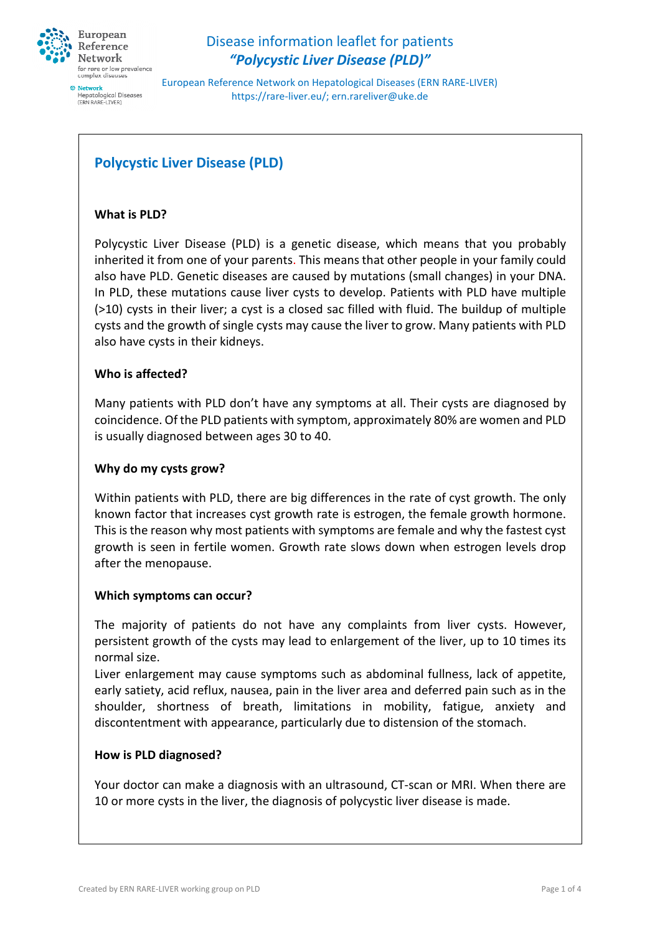

European Reference Network on Hepatological Diseases (ERN RARE-LIVER) https://rare-liver.eu/; ern.rareliver@uke.de

# **Polycystic Liver Disease (PLD)**

### **What is PLD?**

Polycystic Liver Disease (PLD) is a genetic disease, which means that you probably inherited it from one of your parents. This means that other people in your family could also have PLD. Genetic diseases are caused by mutations (small changes) in your DNA. In PLD, these mutations cause liver cysts to develop. Patients with PLD have multiple (>10) cysts in their liver; a cyst is a closed sac filled with fluid. The buildup of multiple cysts and the growth of single cysts may cause the liver to grow. Many patients with PLD also have cysts in their kidneys.

#### **Who is affected?**

Many patients with PLD don't have any symptoms at all. Their cysts are diagnosed by coincidence. Of the PLD patients with symptom, approximately 80% are women and PLD is usually diagnosed between ages 30 to 40.

#### **Why do my cysts grow?**

Within patients with PLD, there are big differences in the rate of cyst growth. The only known factor that increases cyst growth rate is estrogen, the female growth hormone. This is the reason why most patients with symptoms are female and why the fastest cyst growth is seen in fertile women. Growth rate slows down when estrogen levels drop after the menopause.

#### **Which symptoms can occur?**

The majority of patients do not have any complaints from liver cysts. However, persistent growth of the cysts may lead to enlargement of the liver, up to 10 times its normal size.

Liver enlargement may cause symptoms such as abdominal fullness, lack of appetite, early satiety, acid reflux, nausea, pain in the liver area and deferred pain such as in the shoulder, shortness of breath, limitations in mobility, fatigue, anxiety and discontentment with appearance, particularly due to distension of the stomach.

#### **How is PLD diagnosed?**

Your doctor can make a diagnosis with an ultrasound, CT-scan or MRI. When there are 10 or more cysts in the liver, the diagnosis of polycystic liver disease is made.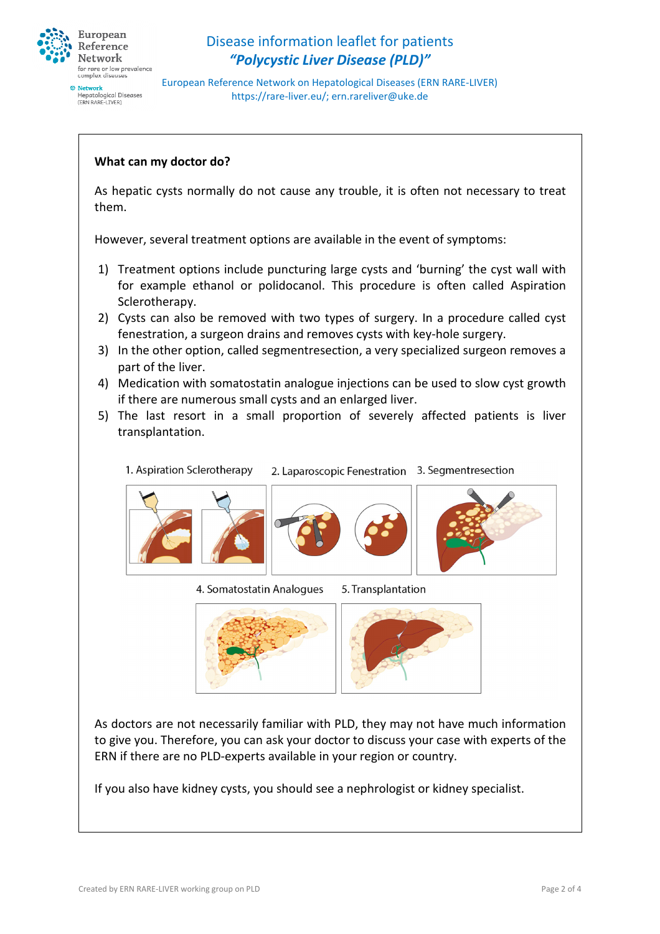

European Reference Network on Hepatological Diseases (ERN RARE-LIVER) https://rare-liver.eu/; ern.rareliver@uke.de

#### **What can my doctor do?**

As hepatic cysts normally do not cause any trouble, it is often not necessary to treat them.

However, several treatment options are available in the event of symptoms:

- 1) Treatment options include puncturing large cysts and 'burning' the cyst wall with for example ethanol or polidocanol. This procedure is often called Aspiration Sclerotherapy.
- 2) Cysts can also be removed with two types of surgery. In a procedure called cyst fenestration, a surgeon drains and removes cysts with key-hole surgery.
- 3) In the other option, called segmentresection, a very specialized surgeon removes a part of the liver.
- 4) Medication with somatostatin analogue injections can be used to slow cyst growth if there are numerous small cysts and an enlarged liver.
- 5) The last resort in a small proportion of severely affected patients is liver transplantation.

1. Aspiration Sclerotherapy 2. Laparoscopic Fenestration 3. Segmentresection



#### 4. Somatostatin Analogues 5. Transplantation



As doctors are not necessarily familiar with PLD, they may not have much information to give you. Therefore, you can ask your doctor to discuss your case with experts of the ERN if there are no PLD-experts available in your region or country.

If you also have kidney cysts, you should see a nephrologist or kidney specialist.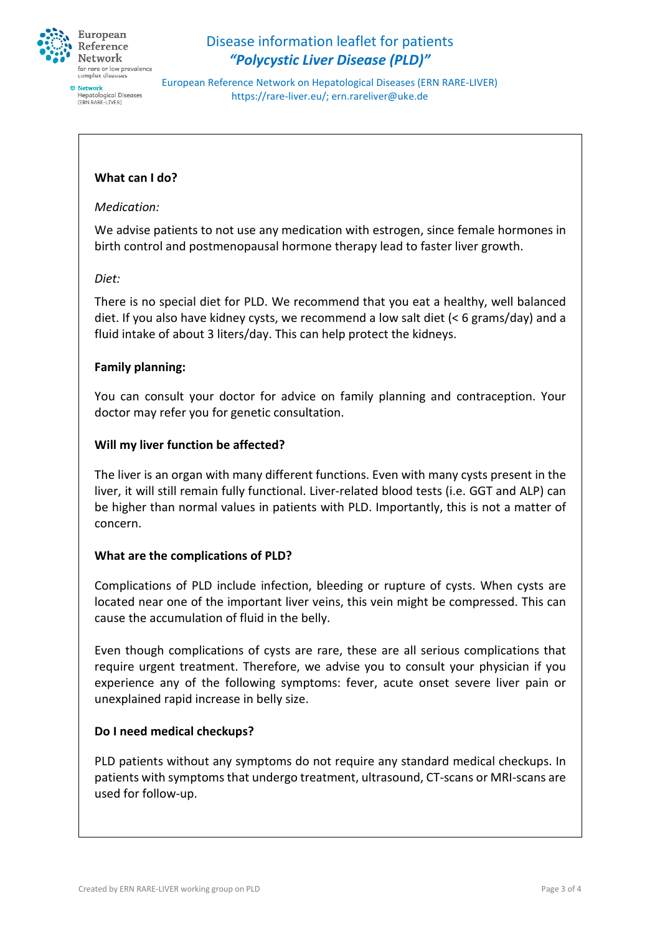

European Reference Network on Hepatological Diseases (ERN RARE-LIVER) https://rare-liver.eu/; ern.rareliver@uke.de

### **What can I do?**

#### *Medication:*

We advise patients to not use any medication with estrogen, since female hormones in birth control and postmenopausal hormone therapy lead to faster liver growth.

#### *Diet:*

There is no special diet for PLD. We recommend that you eat a healthy, well balanced diet. If you also have kidney cysts, we recommend a low salt diet (< 6 grams/day) and a fluid intake of about 3 liters/day. This can help protect the kidneys.

#### **Family planning:**

You can consult your doctor for advice on family planning and contraception. Your doctor may refer you for genetic consultation.

## **Will my liver function be affected?**

The liver is an organ with many different functions. Even with many cysts present in the liver, it will still remain fully functional. Liver-related blood tests (i.e. GGT and ALP) can be higher than normal values in patients with PLD. Importantly, this is not a matter of concern.

#### **What are the complications of PLD?**

Complications of PLD include infection, bleeding or rupture of cysts. When cysts are located near one of the important liver veins, this vein might be compressed. This can cause the accumulation of fluid in the belly.

Even though complications of cysts are rare, these are all serious complications that require urgent treatment. Therefore, we advise you to consult your physician if you experience any of the following symptoms: fever, acute onset severe liver pain or unexplained rapid increase in belly size.

#### **Do I need medical checkups?**

PLD patients without any symptoms do not require any standard medical checkups. In patients with symptoms that undergo treatment, ultrasound, CT-scans or MRI-scans are used for follow-up.